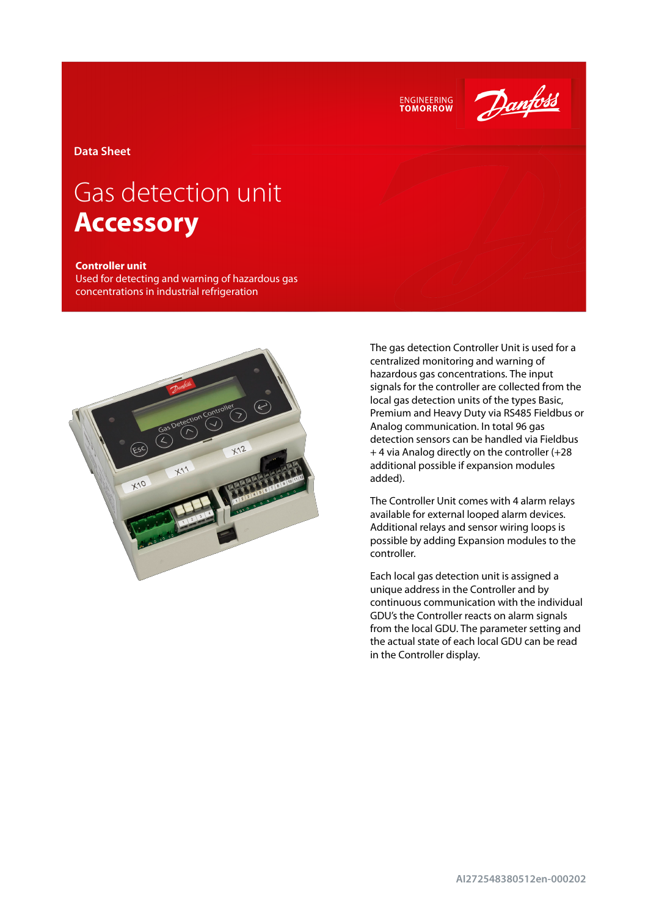



**Data Sheet**

# Gas detection unit **Accessory**

#### **Controller unit**

Used for detecting and warning of hazardous gas concentrations in industrial refrigeration



The gas detection Controller Unit is used for a centralized monitoring and warning of hazardous gas concentrations. The input signals for the controller are collected from the local gas detection units of the types Basic, Premium and Heavy Duty via RS485 Fieldbus or Analog communication. In total 96 gas detection sensors can be handled via Fieldbus + 4 via Analog directly on the controller (+28 additional possible if expansion modules added).

The Controller Unit comes with 4 alarm relays available for external looped alarm devices. Additional relays and sensor wiring loops is possible by adding Expansion modules to the controller.

Each local gas detection unit is assigned a unique address in the Controller and by continuous communication with the individual GDU's the Controller reacts on alarm signals from the local GDU. The parameter setting and the actual state of each local GDU can be read in the Controller display.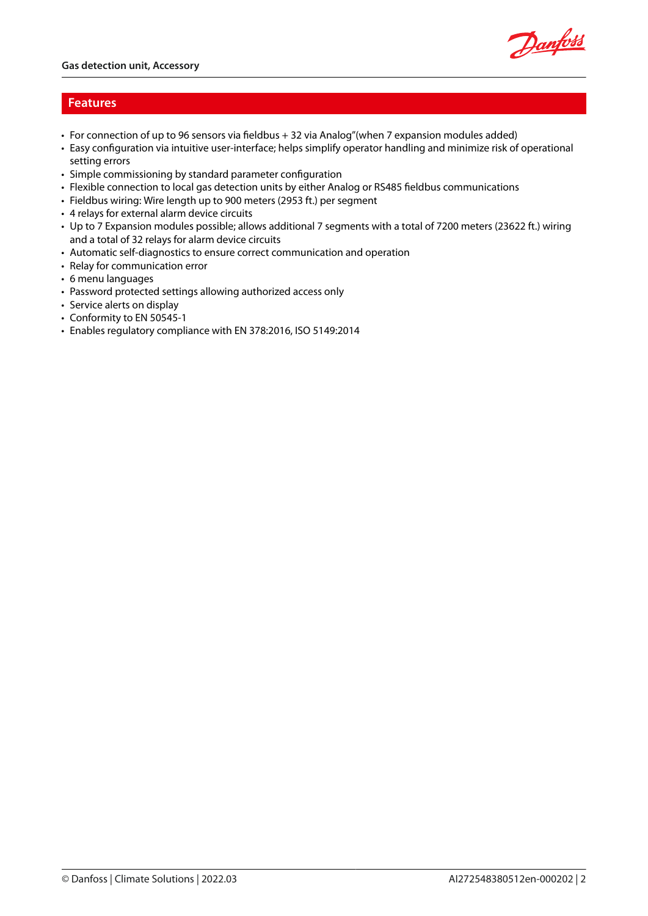

## **Features**

- For connection of up to 96 sensors via fieldbus + 32 via Analog"(when 7 expansion modules added)
- Easy configuration via intuitive user-interface; helps simplify operator handling and minimize risk of operational setting errors
- Simple commissioning by standard parameter configuration
- Flexible connection to local gas detection units by either Analog or RS485 fieldbus communications
- Fieldbus wiring: Wire length up to 900 meters (2953 ft.) per segment
- 4 relays for external alarm device circuits
- Up to 7 Expansion modules possible; allows additional 7 segments with a total of 7200 meters (23622 ft.) wiring and a total of 32 relays for alarm device circuits
- Automatic self-diagnostics to ensure correct communication and operation
- Relay for communication error
- 6 menu languages
- Password protected settings allowing authorized access only
- Service alerts on display
- Conformity to EN 50545-1
- Enables regulatory compliance with EN 378:2016, ISO 5149:2014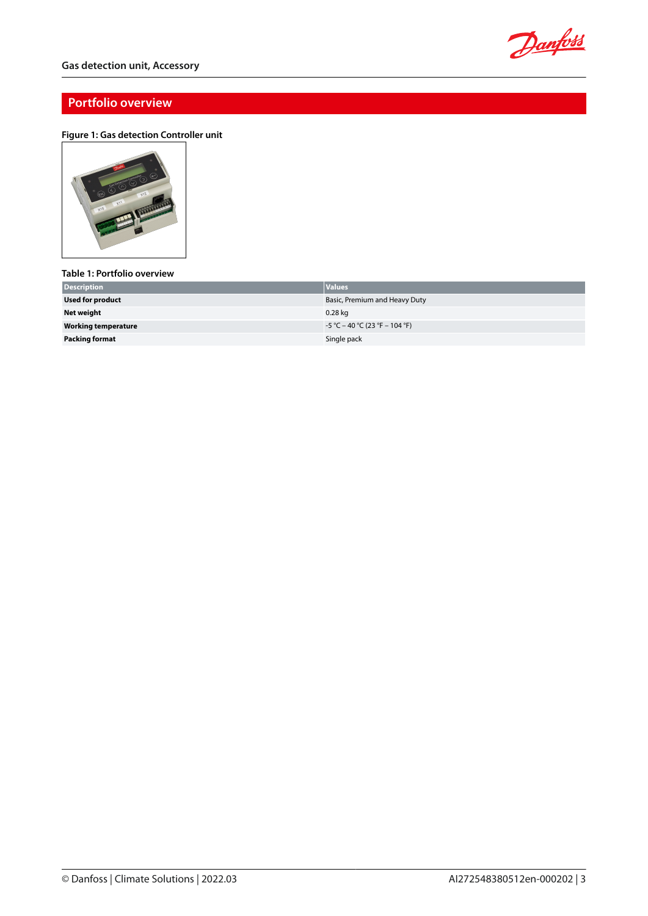

## **Portfolio overview**

#### **Figure 1: Gas detection Controller unit**



#### **Table 1: Portfolio overview**

| <b>Description</b>         | <b>Values</b>                    |
|----------------------------|----------------------------------|
| <b>Used for product</b>    | Basic, Premium and Heavy Duty    |
| Net weight                 | 0.28 kg                          |
| <b>Working temperature</b> | $-5$ °C – 40 °C (23 °F – 104 °F) |
| <b>Packing format</b>      | Single pack                      |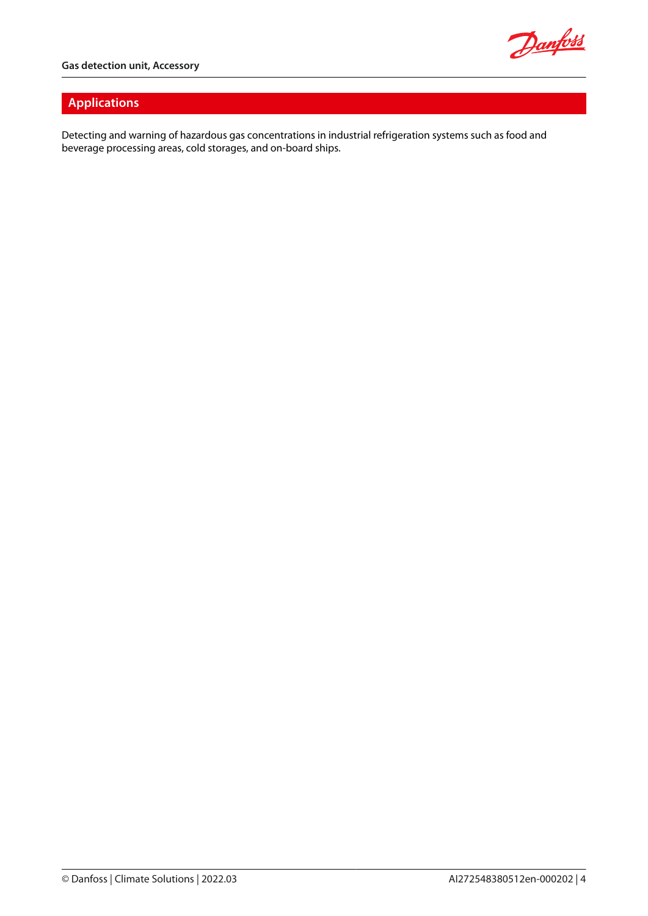

# **Applications**

Detecting and warning of hazardous gas concentrations in industrial refrigeration systems such as food and beverage processing areas, cold storages, and on-board ships.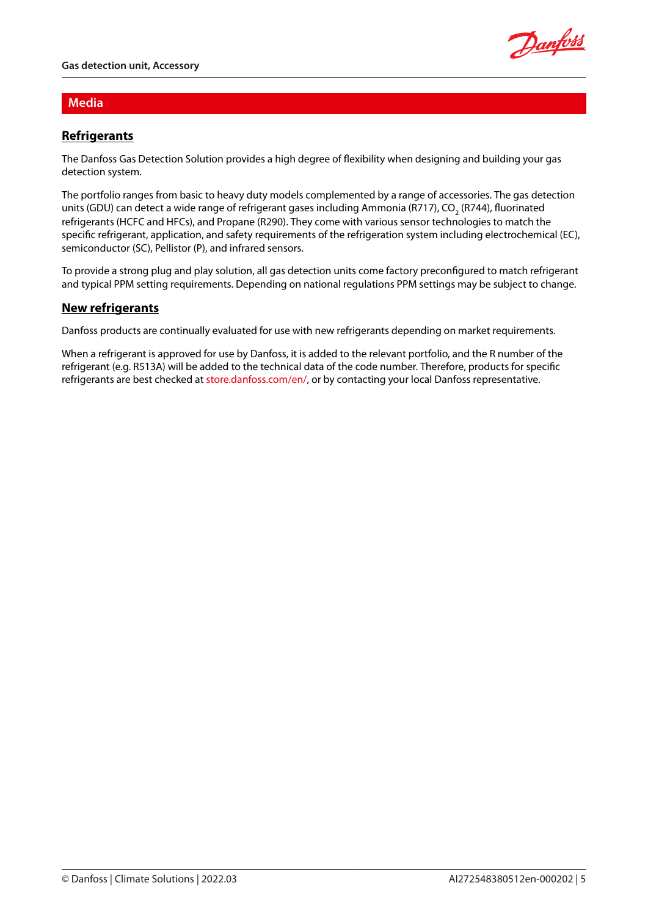

## **Media**

# **Refrigerants**

The Danfoss Gas Detection Solution provides a high degree of flexibility when designing and building your gas detection system.

The portfolio ranges from basic to heavy duty models complemented by a range of accessories. The gas detection units (GDU) can detect a wide range of refrigerant gases including Ammonia (R717), CO<sub>2</sub> (R744), fluorinated refrigerants (HCFC and HFCs), and Propane (R290). They come with various sensor technologies to match the specific refrigerant, application, and safety requirements of the refrigeration system including electrochemical (EC), semiconductor (SC), Pellistor (P), and infrared sensors.

To provide a strong plug and play solution, all gas detection units come factory preconfigured to match refrigerant and typical PPM setting requirements. Depending on national regulations PPM settings may be subject to change.

## **New refrigerants**

Danfoss products are continually evaluated for use with new refrigerants depending on market requirements.

When a refrigerant is approved for use by Danfoss, it is added to the relevant portfolio, and the R number of the refrigerant (e.g. R513A) will be added to the technical data of the code number. Therefore, products for specific refrigerants are best checked at [store.danfoss.com/en/](https://store.danfoss.com/en/), or by contacting your local Danfoss representative.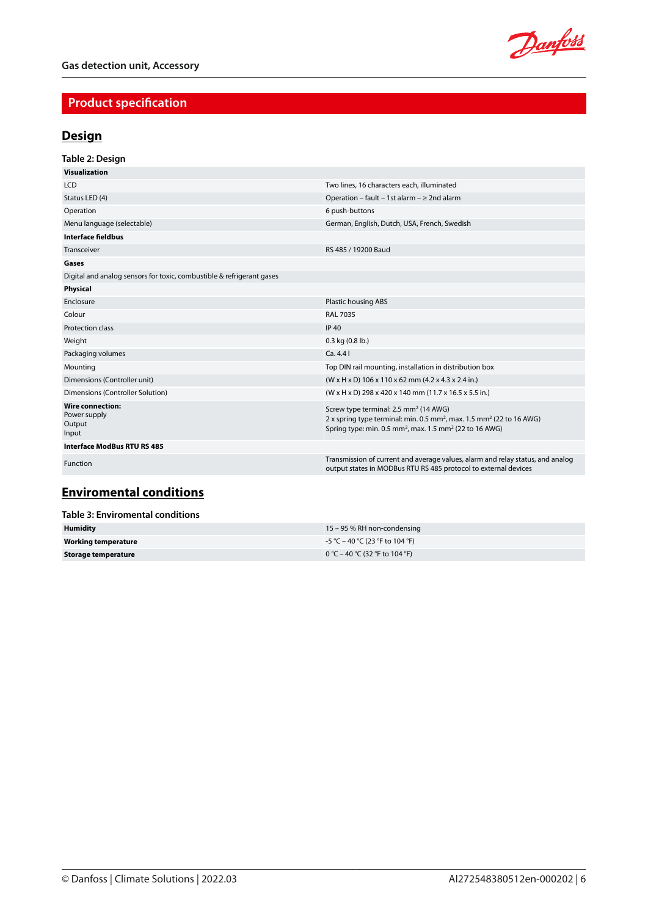

# **Product specification**

# **Design**

| Table 2: Design                                                       |                                                                                                                                                                                                                                      |
|-----------------------------------------------------------------------|--------------------------------------------------------------------------------------------------------------------------------------------------------------------------------------------------------------------------------------|
| <b>Visualization</b>                                                  |                                                                                                                                                                                                                                      |
| <b>LCD</b>                                                            | Two lines, 16 characters each, illuminated                                                                                                                                                                                           |
| Status LED (4)                                                        | Operation - fault - 1st alarm - $\geq 2$ nd alarm                                                                                                                                                                                    |
| Operation                                                             | 6 push-buttons                                                                                                                                                                                                                       |
| Menu language (selectable)                                            | German, English, Dutch, USA, French, Swedish                                                                                                                                                                                         |
| <b>Interface fieldbus</b>                                             |                                                                                                                                                                                                                                      |
| Transceiver                                                           | RS 485 / 19200 Baud                                                                                                                                                                                                                  |
| Gases                                                                 |                                                                                                                                                                                                                                      |
| Digital and analog sensors for toxic, combustible & refrigerant gases |                                                                                                                                                                                                                                      |
| Physical                                                              |                                                                                                                                                                                                                                      |
| Enclosure                                                             | Plastic housing ABS                                                                                                                                                                                                                  |
| Colour                                                                | <b>RAL 7035</b>                                                                                                                                                                                                                      |
| Protection class                                                      | <b>IP 40</b>                                                                                                                                                                                                                         |
| Weight                                                                | $0.3$ kg $(0.8$ lb.)                                                                                                                                                                                                                 |
| Packaging volumes                                                     | Ca.4.41                                                                                                                                                                                                                              |
| Mounting                                                              | Top DIN rail mounting, installation in distribution box                                                                                                                                                                              |
| Dimensions (Controller unit)                                          | $(W \times H \times D)$ 106 x 110 x 62 mm (4.2 x 4.3 x 2.4 in.)                                                                                                                                                                      |
| Dimensions (Controller Solution)                                      | (W x H x D) 298 x 420 x 140 mm (11.7 x 16.5 x 5.5 in.)                                                                                                                                                                               |
| <b>Wire connection:</b><br>Power supply<br>Output<br>Input            | Screw type terminal: 2.5 mm <sup>2</sup> (14 AWG)<br>2 x spring type terminal: min. 0.5 mm <sup>2</sup> , max. 1.5 mm <sup>2</sup> (22 to 16 AWG)<br>Spring type: min. 0.5 mm <sup>2</sup> , max. 1.5 mm <sup>2</sup> (22 to 16 AWG) |
| Interface ModBus RTU RS 485                                           |                                                                                                                                                                                                                                      |
| Function                                                              | Transmission of current and average values, alarm and relay status, and analog<br>output states in MODBus RTU RS 485 protocol to external devices                                                                                    |

# **Enviromental conditions**

| Table 3: Enviromental conditions |                                   |  |
|----------------------------------|-----------------------------------|--|
| <b>Humidity</b>                  | 15 – 95 % RH non-condensing       |  |
| Working temperature              | $-5$ °C – 40 °C (23 °F to 104 °F) |  |
| Storage temperature              | 0 °C – 40 °C (32 °F to 104 °F)    |  |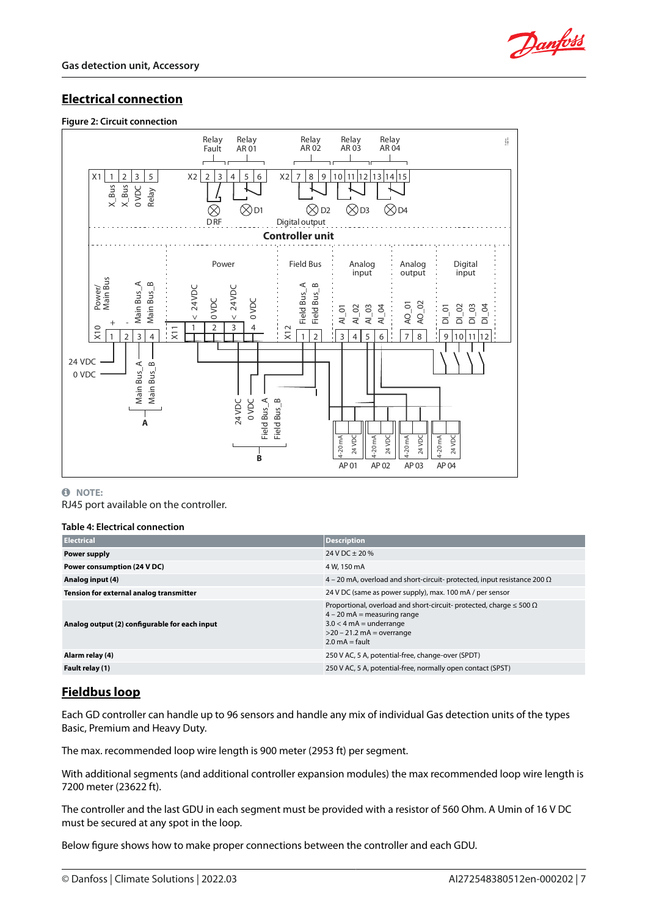

# **Electrical connection**

#### **Figure 2: Circuit connection**



#### **0** NOTE:

RJ45 port available on the controller.

#### **Table 4: Electrical connection**

| <b>Electrical</b>                             | <b>Description</b>                                                                                                                                                                                             |
|-----------------------------------------------|----------------------------------------------------------------------------------------------------------------------------------------------------------------------------------------------------------------|
| Power supply                                  | $24$ V DC + 20 %                                                                                                                                                                                               |
| Power consumption (24 V DC)                   | 4 W, 150 mA                                                                                                                                                                                                    |
| Analog input (4)                              | 4 – 20 mA, overload and short-circuit- protected, input resistance 200 $\Omega$                                                                                                                                |
| Tension for external analog transmitter       | 24 V DC (same as power supply), max. 100 mA / per sensor                                                                                                                                                       |
| Analog output (2) configurable for each input | Proportional, overload and short-circuit- protected, charge $\leq 500 \Omega$<br>$4 - 20$ mA = measuring range<br>$3.0 < 4$ mA = underrange<br>$>$ 20 – 21.2 mA = overrange<br>$2.0 \text{ mA} = \text{fault}$ |
| Alarm relay (4)                               | 250 V AC, 5 A, potential-free, change-over (SPDT)                                                                                                                                                              |
| Fault relay (1)                               | 250 V AC, 5 A, potential-free, normally open contact (SPST)                                                                                                                                                    |

## **Fieldbus loop**

Each GD controller can handle up to 96 sensors and handle any mix of individual Gas detection units of the types Basic, Premium and Heavy Duty.

The max. recommended loop wire length is 900 meter (2953 ft) per segment.

With additional segments (and additional controller expansion modules) the max recommended loop wire length is 7200 meter (23622 ft).

The controller and the last GDU in each segment must be provided with a resistor of 560 Ohm. A Umin of 16 V DC must be secured at any spot in the loop.

Below figure shows how to make proper connections between the controller and each GDU.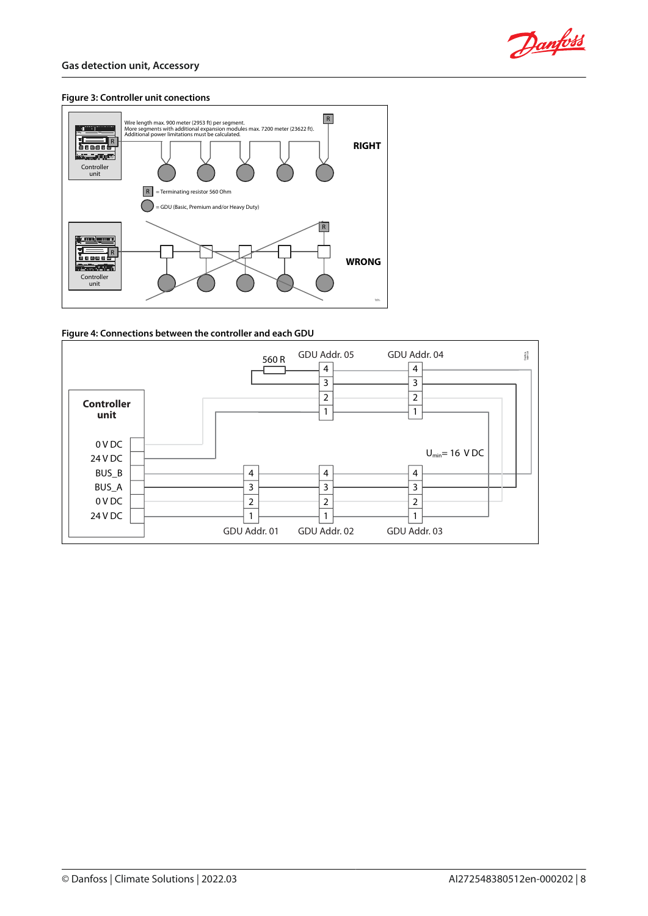

#### **Figure 3: Controller unit conections**



#### **Figure 4: Connections between the controller and each GDU**

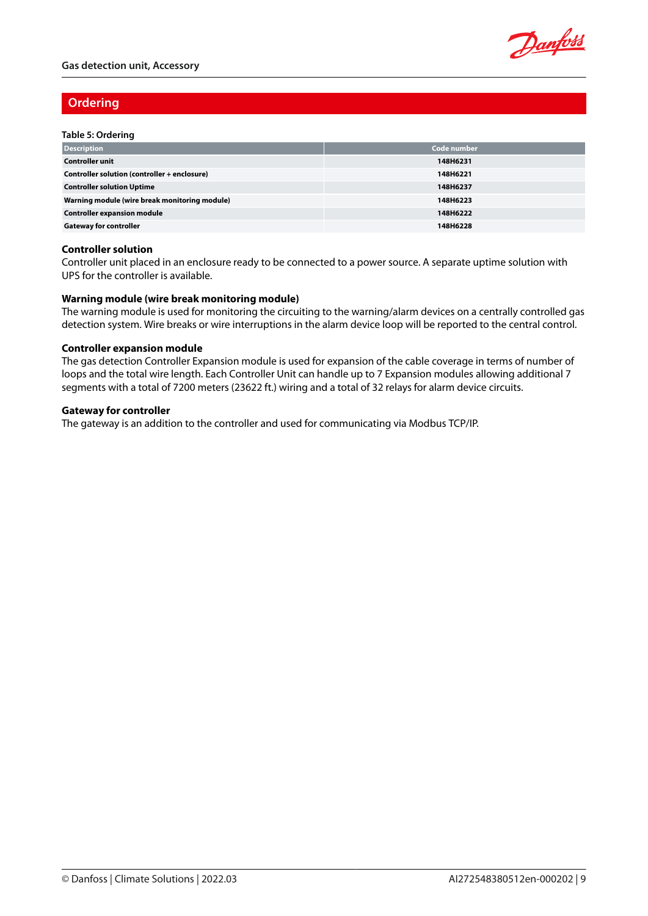

## **Ordering**

#### **Table 5: Ordering**

| <b>Description</b>                            | Code number |
|-----------------------------------------------|-------------|
| <b>Controller unit</b>                        | 148H6231    |
| Controller solution (controller + enclosure)  | 148H6221    |
| <b>Controller solution Uptime</b>             | 148H6237    |
| Warning module (wire break monitoring module) | 148H6223    |
| <b>Controller expansion module</b>            | 148H6222    |
| <b>Gateway for controller</b>                 | 148H6228    |

#### **Controller solution**

Controller unit placed in an enclosure ready to be connected to a power source. A separate uptime solution with UPS for the controller is available.

#### **Warning module (wire break monitoring module)**

The warning module is used for monitoring the circuiting to the warning/alarm devices on a centrally controlled gas detection system. Wire breaks or wire interruptions in the alarm device loop will be reported to the central control.

#### **Controller expansion module**

The gas detection Controller Expansion module is used for expansion of the cable coverage in terms of number of loops and the total wire length. Each Controller Unit can handle up to 7 Expansion modules allowing additional 7 segments with a total of 7200 meters (23622 ft.) wiring and a total of 32 relays for alarm device circuits.

#### **Gateway for controller**

The gateway is an addition to the controller and used for communicating via Modbus TCP/IP.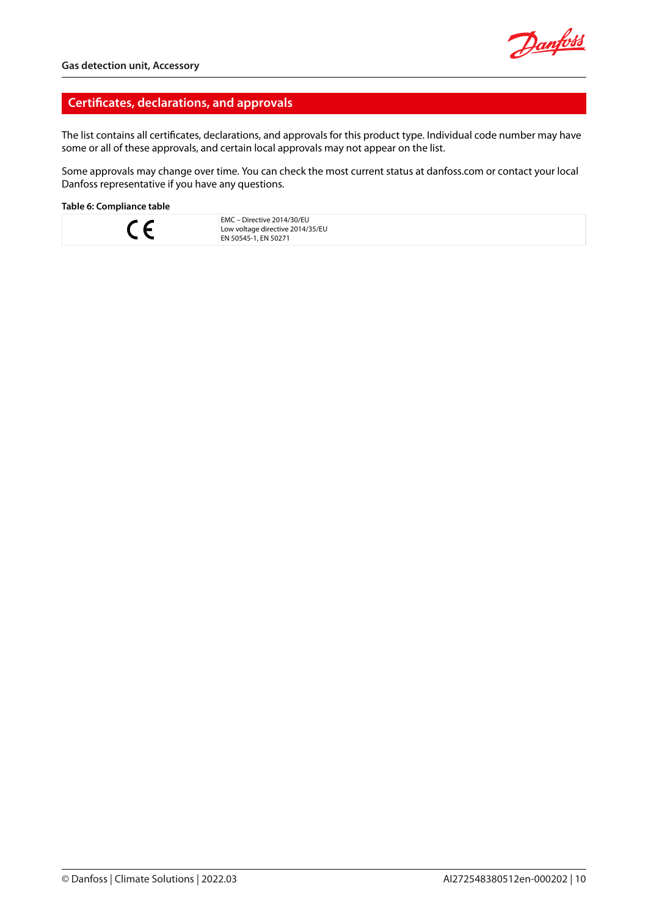## **Certificates, declarations, and approvals**

The list contains all certificates, declarations, and approvals for this product type. Individual code number may have some or all of these approvals, and certain local approvals may not appear on the list.

Some approvals may change over time. You can check the most current status at danfoss.com or contact your local Danfoss representative if you have any questions.

#### **Table 6: Compliance table**



EMC – Directive 2014/30/EU Low voltage directive 2014/35/EU EN 50545-1, EN 50271